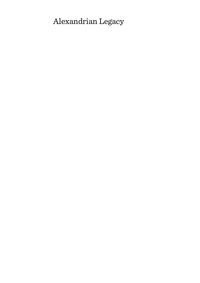# Alexandrian Legacy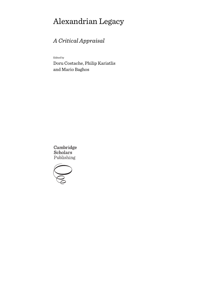# Alexandrian Legacy

## *A Critical Appraisal*

Edited by

Doru Costache, Philip Kariatlis and Mario Baghos

Cambridge **Scholars** Publishing

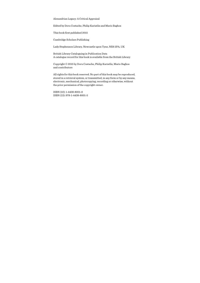Alexandrian Legacy: A Critical Appraisal

Edited by Doru Costache, Philip Kariatlis and Mario Baghos

This book first published 2015

Cambridge Scholars Publishing

Lady Stephenson Library, Newcastle upon Tyne, NE6 2PA, UK

British Library Cataloguing in Publication Data A catalogue record for this book is available from the British Library

Copyright © 2015 by Doru Costache, Philip Kariatlis, Mario Baghos and contributors

All rights for this book reserved. No part of this book may be reproduced, stored in a retrieval system, or transmitted, in any form or by any means, electronic, mechanical, photocopying, recording or otherwise, without the prior permission of the copyright owner.

ISBN (10): 1-4438-8001-9 ISBN (13): 978-1-4438-8001-5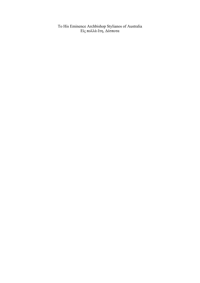### To His Eminence Archbishop Stylianos of Australia Είς πολλά έτη, Δέσποτα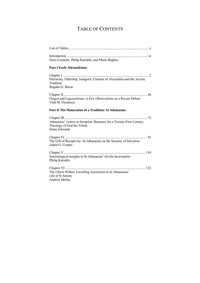## TABLE OF CONTENTS

| Doru Costache, Philip Kariatlis, and Mario Baghos                                                                    |
|----------------------------------------------------------------------------------------------------------------------|
| <b>Part I Early Alexandrians</b>                                                                                     |
| Hierarchy, Eldership, Isangelia: Clement of Alexandria and the Ascetic<br>Tradition<br>Bogdan G. Bucur               |
| Origen and Logocentrism: A Few Observations on a Recent Debate<br>Vlad M. Niculescu                                  |
| <b>Part II The Maturation of a Tradition: St Athanasius</b>                                                          |
| Athanasius' Letters to Serapion: Resource for a Twenty-First Century<br>Theology of God the Trinity<br>Denis Edwards |
| The Gift of Receptivity: St Athanasius on the Security of Salvation<br>Adam G. Cooper                                |
| Soteriological Insights in St Athanasius' On the Incarnation<br>Philip Kariatlis                                     |
| The Chora Within: Unveiling Asceticism in St Athanasius'<br>Life of St Antony<br><b>Andrew Mellas</b>                |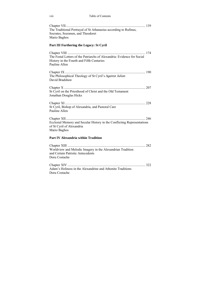| <br>V111 | Table of Contents |
|----------|-------------------|
|          |                   |

| The Traditional Portrayal of St Athanasius according to Rufinus,<br>Socrates, Sozomen, and Theodoret<br>Mario Baghos                  |
|---------------------------------------------------------------------------------------------------------------------------------------|
| Part III Furthering the Legacy: St Cyril                                                                                              |
| The Festal Letters of the Patriarchs of Alexandria: Evidence for Social<br>History in the Fourth and Fifth Centuries<br>Pauline Allen |
| The Philosophical Theology of St Cyril's Against Julian<br>David Bradshaw                                                             |
| St Cyril on the Priesthood of Christ and the Old Testament<br>Jonathan Douglas Hicks                                                  |
| St Cyril, Bishop of Alexandria, and Pastoral Care<br>Pauline Allen                                                                    |
| Ecclesial Memory and Secular History in the Conflicting Representations<br>of St Cyril of Alexandria<br>Mario Baghos                  |
| <b>Part IV Alexandria within Tradition</b>                                                                                            |
| Worldview and Melodic Imagery in the Alexandrian Tradition<br>and Certain Patristic Antecedents<br>Doru Costache                      |
| Adam's Holiness in the Alexandrine and Athonite Traditions                                                                            |

Doru Costache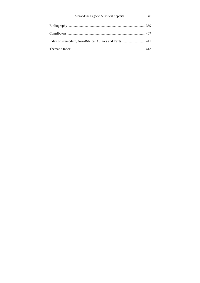| Alexandrian Legacy: A Critical Appraisal                | ix |
|---------------------------------------------------------|----|
|                                                         |    |
|                                                         |    |
| Index of Premodern, Non-Biblical Authors and Texts  411 |    |
|                                                         |    |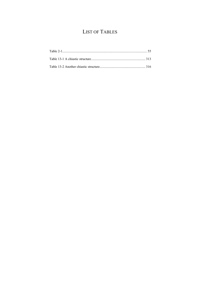## **LIST OF TABLES**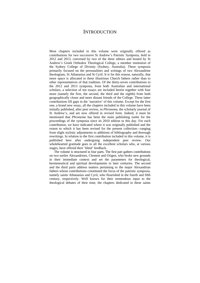### **INTRODUCTION**

Most chapters included in this volume were originally offered as contributions for two successive St Andrew's Patristic Symposia, held in 2012 and 2013, convened by two of the three editors and hosted by St Andrew's Greek Orthodox Theological College, a member institution of the Sydney College of Divinity (Sydney, Australia). These symposia primarily focused on the personalities and writings of two Alexandrine theologians, St Athanasius and St Cyril. It is for this reason, naturally, that more space is allocated to these illustrious Church fathers rather than to other representatives of that tradition. Of the thirty-seven contributions to the 2012 and 2013 symposia, from both Australian and international scholars, a selection of ten essays are included herein together with four more (namely the first, the second, the third and the eighth) from both geographically closer and more distant friends of the College. These latter contributions fill gaps in the 'narrative' of this volume. Except for the first one, a brand new essay, all the chapters included in this volume have been initially published, after peer review, in *Phronema*, the scholarly journal of St Andrew's, and are now offered in revised form. Indeed, it must be mentioned that *Phronema* has been the main publishing outlet for the proceedings of the symposia since its 2010 edition to this day. For each contribution, we have indicated where it was originally published and the extent to which it has been revised for the present collection—ranging from slight stylistic adjustments to additions of bibliography and thorough rewritings. In relation to the first contribution included in this volume, it is published here after undergoing independent peer review. Our wholehearted gratitude goes to all the excellent scholars who, at various stages, have offered their 'blind' feedback.

The volume is structured in four parts. The first part gathers contributions on two earlier Alexandrines, Clement and Origen, who broke new grounds in their immediate context and set the parameters for theological, hermeneutical and spiritual developments in later centuries. The second and the third parts address matters pertaining to the major Alexandrian fathers whose contributions constituted the focus of the patristic symposia, namely saints Athanasius and Cyril, who flourished in the fourth and fifth century, respectively. Well known for their tremendous input to the theological debates of their time, the chapters dedicated to these saints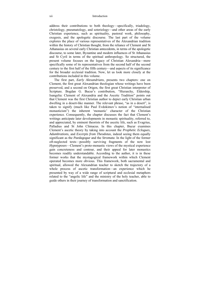#### xii Introduction

address their contributions to both theology—specifically, triadology, christology, pneumatology, and soteriology—and other areas of the early Christian experience, such as spirituality, pastoral work, philosophy, exegesis, and the apologetic discourse. The last part of the volume explores the place of various representatives of the Alexandrian tradition within the history of Christian thought, from the reliance of Clement and St Athanasius on several early Christian antecedents, in terms of the apologetic discourse, to some later, Byzantine and modern influences of St Athanasius and St Cyril in terms of the spiritual anthropology. So structured, the present volume focuses on the legacy of Christian Alexandria—more specifically some of its representatives from the second half of the second century to the first half of the fifth century—and aspects of its significance for the broader ecclesial tradition. Now, let us look more closely at the contributions included in this volume.

The first part, *Early Alexandrians*, presents two chapters: one on Clement, the first great Alexandrian theologian whose writings have been preserved, and a second on Origen, the first great Christian interpreter of Scripture. Bogdan G. Bucur's contribution, "Hierarchy, Eldership, Isangelia: Clement of Alexandria and the Ascetic Tradition" points out that Clement was the first Christian author to depict early Christian urban dwelling in a desert-like manner. The relevant phrase, "as in a desert", is taken to signify (much like Paul Evdokimov's notion of "internalised monasticism") the inherent 'monastic' character of the Christian experience. Consequently, the chapter discusses the fact that Clement's writings anticipate later developments in monastic spirituality, referred to, and appreciated, by eminent theorists of the ascetic life, such as Evagrius, Palladius and St John Climacus. In this chapter, Bucur examines Clement's ascetic theory by taking into account the *Prophetic Eclogues*, *Adumbrations*, and *Excerpts from Theodotus*, indeed seeing them equally significant as the *Paedagogue* and the *Stromata*. In the light of the former oft-neglected texts—possibly surviving fragments of the now lost *Hypotyposes*—Clement's proto-monastic views of the mystical experience gain concreteness and contour, and their appeal for later monastics becomes readily understandable. According to the author, it is in these former works that the mystagogical framework within which Clement operated becomes more obvious. This framework, both sacramental and spiritual, allowed the Alexandrian teacher to sketch the trajectory of a whole process of ascetic transformation—an experience which he presented by way of a wide range of scriptural and ecclesial metaphors related to the "angelic life" and the ministry of the holy teacher, able to guide others in their journey of transformation and sanctification.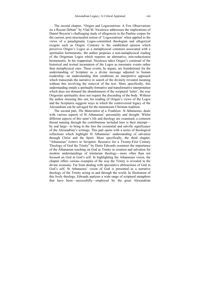The second chapter, "Origen and Logocentrism: A Few Observations on a Recent Debate" by Vlad M. Niculescu addressees the implications of Daniel Boyarin's challenging study of allegoresis in the Pauline corpus for the current, post-structuralist notion of 'Logocentrism' when applied to the views of a paradigmatic Logos-committed theologian and allegorical exegete such as Origen. Contrary to the established opinion which perceives Origen's Logos as a metaphysical construct associated with a spiritualist hermeneutic, the author proposes a non-metaphysical reading of the Origenian Logos which requires an alternative, non-reductionist hermeneutic. In his reappraisal, Niculescu takes Origen's construal of the historical and textual incarnation of the Logos as messianic events rather than metaphysical ones. These events, he argues, are foundational for the understanding of Scripture as a divine message adjusted to human readership—an understanding that conditions an interpretive approach which transcends the narrative in search of the divinely revealed meaning without this involving the removal of the text. More specifically, this understanding entails a spiritually-formative and transformative interpretation which does not demand the abandonment of the scriptural 'letter', the way Origenian spirituality does not require the discarding of the body. Without the author stressing this out, his reading of Origen's views of the Logos and the Scriptures suggests ways in which the controversial legacy of the Alexandrian can be salvaged for the mainstream Christian tradition.

The second part, *The Maturation of a Tradition: St Athanasius*, deals with various aspects of St Athanasius' personality and thought. Whilst different aspects of this saint's life and theology are examined, a common thread running through the contributions included here is their attempt by and large—to bring to the fore the existential and salvific significance of the Alexandrian's writings. This part opens with a series of theological reflections which highlight St Athanasius' understanding of salvation through Christ and the Spirit. More specifically, the third chapter, "Athanasius' *Letters to Serapion*: Resource for a Twenty-First Century Theology of God the Trinity<sup>"</sup> by Denis Edwards examines the importance of the Athanasian teaching on God as Trinity in creation and salvation for modern understandings of trinitarian theology—more often than not focused on God in God's self. In highlighting the Athanasian vision, the chapter offers various examples of the way the Trinity is revealed in the divine economy. Far from dealing with speculative abstractions of God in God's self, St Athanasius' vision of God is presented as a narrative theology of the Trinity acting in and through the world. In illustration of this lively theology, Edwards analyses a wide range of scriptural metaphors that have been—successfully—employed by the great Alexandrian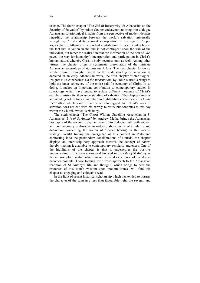teacher. The fourth chapter "The Gift of Receptivity: St Athanasius on the Security of Salvation" by Adam Cooper endeavours to bring into dialogue Athanasian soteriological insights from the perspective of modern debates regarding the relationship between the world's salvation universally wrought by Christ and its personal appropriation. In this regard, Cooper argues that St Athanasius' important contribution to these debates lies in the fact that salvation in the end is not contingent upon the will of the individual, but rather the realisation that the incarnation of the Son of God paved the way for humanity's incorporation and participation in Christ's human nature, whereby Christ's body becomes ours as well. Among other virtues, the chapter offers a systematic presentation of the intricate Athanasian soteriology of *Against the Arians*. The next chapter follows a similar train of thought. Based on the understanding of salvation as depicted in an early Athanasian work, the fifth chapter "Soteriological Insights in St Athanasius' *On the Incarnation*" by Philip Kariatlis brings to light the inner coherency of the entire salvific economy of Christ. In so doing, it makes an important contribution to contemporary studies in soteriology which have tended to isolate different moments of Christ's earthly ministry for their understanding of salvation. The chapter discerns an unending soteriological narrative in highlighting certain texts in *On the Incarnation* which could in fact be seen to suggest that Christ's work of salvation does not end with his earthly ministry but continues to this day within the Church, which is his body.

The sixth chapter "The *Chora* Within: Unveiling Asceticism in St Athanasius' *Life of St Antony*" by Andrew Mellas brings the Athanasian biography of the revered Egyptian hermit into dialogue with both ancient and contemporary philosophy in order to show points of similarity and distinction concerning the notion of 'space' (*chora*) in the various writings. Whilst tracing the emergence of this concept in Plato and contrasting it to the postmodern considerations of Derrida, the chapter displays an interdisciplinary approach towards the concept of *chora*, thereby making it available to contemporary scholarly audiences. One of the highlights of the chapter is that it underscores the positive understanding of the term *chora* as delineated in the *Life of St Antony* as the interior place within which an unmediated experience of the divine becomes possible. Those looking for a fresh approach to the Athanasian rendition of St Antony's life and thought—which brings to bear the resources of this saint's wisdom upon modern issues—will find this chapter an engaging and enjoyable read.

In the light of recent historical scholarship which has tended to portray the character of the saint in a less than favourable light, the seventh and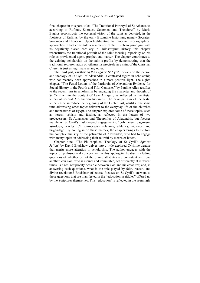final chapter in this part, titled "The Traditional Portrayal of St Athanasius according to Rufinus, Socrates, Sozomen, and Theodoret" by Mario Baghos reconstructs the ecclesial vision of the saint as depicted, in the footsteps of Rufinus, by the early Byzantine historians, namely Socrates, Sozomen and Theodoret. Upon highlighting that modern historiographical approaches in fact constitute a resurgence of the Eusebian paradigm, with its negatively biased corollary in Philostorgius' history, this chapter reconstructs the traditional portrait of the saint focusing especially on his role as providential agent, prophet and martyr. The chapter contributes to the existing scholarship on the saint's profile by demonstrating that the traditional representation of Athanasius precisely as a saint of the Christian Church is just as legitimate as any other.

The third part, *Furthering the Legacy: St Cyril*, focuses on the person and theology of St Cyril of Alexandria, a contested figure in scholarship who has recently been approached in a more positive light. The eighth chapter, "The Festal Letters of the Patriarchs of Alexandria: Evidence for Social History in the Fourth and Fifth Centuries" by Pauline Allen testifies to the recent turn in scholarship by engaging the character and thought of St Cyril within the context of Late Antiquity as reflected in the festal letters of several Alexandrian hierarchs. The principal aim of the festal letter was to introduce the beginning of the Lenten fast, whilst at the same time addressing other topics relevant to the everyday life of the churches and monasteries of Egypt. The chapter explores some of these topics, such as heresy, schism and fasting, as reflected in the letters of two predecessors, St Athanasius and Theophilus of Alexandria, but focuses mainly on St Cyril's multilayered engagement of polytheism, paganism, astrology, oracles, Christian-Jewish relations, athletics, violence, and brigandage. By honing in on these themes, the chapter brings to the fore the complex ministry of the patriarchs of Alexandria, who had to engage with many topics in addressing their faithful by means of letters.

Chapter nine, "The Philosophical Theology of St Cyril's *Against Julian*" by David Bradshaw delves into a little explored Cyrilline treatise that merits more attention in scholarship. The author engages with the topics of philosophical concern within this apologetic treatise, including questions of whether or not the divine attributes are consistent with one another; can God, who is eternal and immutable, act differently at different times; is a real reciprocity possible between God and his creatures; and, in answering such questions, what is the role played by faith, reason, and divine revelation? Bradshaw of course focuses on St Cyril's answers to these questions that are manifested in the "education in riddles" offered up by the Scriptures themselves. This 'education' is reflected in the seemingly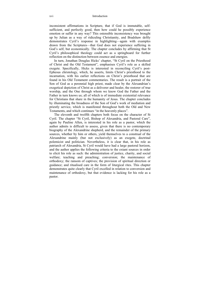#### xvi Introduction

inconsistent affirmations in Scripture, that if God is immutable, selfsufficient, and perfectly good, then how could he possibly experience emotion or suffer in any way? This ostensible inconsistency was brought up by Julian as a way of ridiculing Christianity, and Bradshaw deftly demonstrates Cyril's response in highlighting—again with examples drawn from the Scriptures—that God does not experience suffering in God's self, but economically. The chapter concludes by affirming that St Cyril's philosophical theology could act as a springboard for further reflection on the distinction between essence and energies.

In turn, Jonathan Douglas Hicks' chapter, "St Cyril on the Priesthood of Christ and the Old Testament", emphasises Cyril's role as a skilled exegete. Specifically, Hicks is interested in reconciling Cyril's post-Ephesus christology, which, he asserts, limits Christ's priesthood to the incarnation, with his earlier reflections on Christ's priesthood that are found in his Old Testament commentaries. The result is a portrait of the Son of God as a perennial high priest, made clear by the Alexandrian's exegetical depiction of Christ as a deliverer and healer, the restorer of true worship, and the One through whom we know God the Father and the Father in turn knows us; all of which is of immediate existential relevance for Christians that share in the humanity of Jesus. The chapter concludes by illuminating the broadness of the Son of God's work of mediation and priestly service, which is manifested throughout both the Old and New Testaments, and which continues "in the heavenly places".

The eleventh and twelfth chapters both focus on the character of St Cyril. The chapter "St Cyril, Bishop of Alexandria, and Pastoral Care", again by Pauline Allen, is interested in his role as a pastor, which the author admits is difficult to assess, given that there is no contemporary biography of the Alexandrine shepherd, and the remainder of the primary sources, whether by him or others, yield themselves to a construal of the Alexandrine mainly (but not exclusively) as an exegete, doctrinal polemicist and politician. Nevertheless, it is clear that, in his role as patriarch of Alexandria, St Cyril would have had a large pastoral horizon, and the author applies the following criteria to the extant sources in order to elicit his role as such: the administration of justice, charity, and social welfare; teaching and preaching; conversion; the maintenance of orthodoxy; the ransom of captives; the provision of spiritual direction or guidance; and ritualised care in the form of liturgical rites. This chapter demonstrates quite clearly that Cyril excelled in relation to conversion and maintenance of orthodoxy, but that evidence is lacking for his role as a pastor.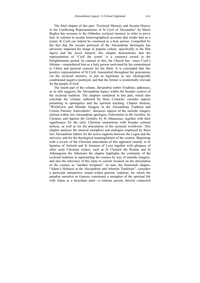The final chapter of this part, "Ecclesial Memory and Secular History in the Conflicting Representations of St Cyril of Alexandria" by Mario Baghos has recourse to the Orthodox ecclesial memory in order to prove that, in contrast to secular historiographical accounts that render him as a tyrant, St Cyril can indeed be construed as a holy person. Compelled by the fact that the secular portrayal of the Alexandrian theologian has adversely impacted his image in popular culture, specifically in the film *Agora* and the novel *Azazeel*, this chapter demonstrates that the representation of 'Cyril the tyrant' is a construct rooted in the Enlightenment period. In contrast to this, the Church has—since Cyril's lifetime—remembered him as a holy person motivated by his commitment to Christ and pastoral concern for his flock. It is concluded that this positive representation of St Cyril, transmitted throughout the generations via the ecclesial memory, is just as legitimate as any ideologically conditioned negative portrayal, and that the former is existentially relevant for the people of God.

The fourth part of the volume, *Alexandria within Tradition*, addresses, as its title suggests, the Alexandrian legacy within the broader context of the ecclesial tradition. The chapters contained in this part, which also conclude the volume, authored by Doru Costache, consider aspects pertaining to apologetics and the spiritual teaching. Chapter thirteen, "Worldview and Melodic Imagery in the Alexandrian Tradition and Certain Patristic Antecedents", discusses aspects of the melodic imagery utilised within two Alexandrine apologies, *Exhortation to the Gentiles*, by Clement, and *Against the Gentiles*, by St Athanasius, together with their significance for the early Christian interactions with broader cultural milieus, as well as for the articulation of the ecclesial worldview. This chapter analyses the musical metaphors and analogies employed by these two Alexandrian fathers for the active rapports between the Logos and the universe, and for the theological meaningfulness of the cosmos. Beginning with a review of the Christian antecedents of this approach (mainly in St Ignatius of Antioch and St Irenaeus of Lyon together with glimpses of other early Christian writers, such as St Clement the Roman and St Athenagoras the Athenian) the chapter highlights the continuity of the ecclesial tradition in representing the cosmos by way of melodic imagery, and also the relevance of this topic to current research on the articulation of the cosmos as "another Scripture". In turn, the fourteenth chapter, "Adam's Holiness in the Alexandrine and Athonite Traditions", considers a particular interpretive strand within patristic tradition, for which the paradise narrative in Genesis constituted a metaphor of the spiritual life with Adam as a hesychast saint—a virtuous person, directly connected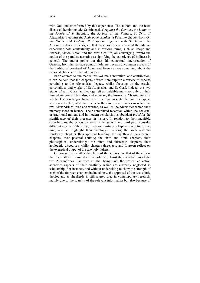with God and transformed by this experience. The authors and the texts discussed herein include, St Athanasius' *Against the Gentiles*, the *Letter to the Monks* of St Sarapion, the *Sayings of the Fathers*, St Cyril of Alexandria's *Against the Anthropomorphites*, a Palamite chapter from *On the Divine and Deifying Participation* together with St Silouan the Athonite's diary. It is argued that these sources represented the adamic experience both contextually and in various terms, such as image and likeness, vision, union and the breath of life, all converging toward the notion of the paradise narrative as signifying the experience of holiness in general. The author points out that this contextual interpretation of Genesis, from the vantage point of holiness, reveals uncommon aspects of the traditional construal of Adam and likewise says something about the personal character of the interpreters.

In an attempt to summarise this volume's 'narrative' and contribution, it can be said that the chapters offered here explore a variety of aspects pertaining to the Alexandrian legacy, whilst focusing on the crucial personalities and works of St Athanasius and St Cyril. Indeed, the two giants of early Christian theology left an indelible mark not only on their immediate context but also, and more so, the history of Christianity as a whole. The two biographical reconstructions presented herein, in chapters seven and twelve, alert the reader to the dire circumstances in which the two Alexandrines lived and worked, as well as the adversities which their memory faced in history. Their convoluted reception within the ecclesial or traditional milieus and in modern scholarship is abundant proof for the significance of their presence in history. In relation to their manifold contributions, the essays gathered in the second and third parts consider different aspects of their life, times and writings: chapters three, four, five, nine, and ten highlight their theological visions; the sixth and the fourteenth chapters, their spiritual teaching; the eighth and the eleventh chapters, their pastoral activity; the sixth and ninth chapters, their philosophical undertakings; the ninth and thirteenth chapters, their apologetic discourses, whilst chapters three, ten, and fourteen reflect on the exegetical output of the two holy fathers.

Of course, it is neither the claim of the authors nor that of the editors that the matters discussed in this volume exhaust the contributions of the two Alexandrines. Far from it. That being said, the present collection addresses aspects of their creativity which are currently neglected in scholarship. For instance, and without undertaking to show the strength of each of the fourteen chapters included here, the appraisal of the two saintly theologians as shepherds is still a grey area in contemporary research, mainly due to the scarcity of the relevant information but also because of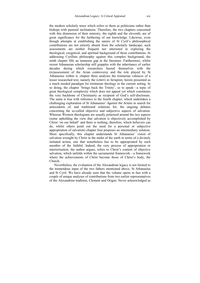the modern scholarly tenor which refers to them as politicians rather than bishops with pastoral inclinations. Therefore, the two chapters concerned with this dimension of their ministry, the eighth and the eleventh, are of great significance for the furthering of our knowledge. Likewise, even though attempts at establishing the nature of St Cyril's philosophical contributions are not entirely absent from the scholarly landscape, such assessments are neither frequent nor interested in exploring the theological, exegetical, and spiritual background of these contributions. In addressing Cyrilline philosophy against this complex background, the ninth chapter fills an immense gap in the literature. Furthermore, whilst recent Athanasian scholarship still grapples with the inheritance of earlier decades during which researchers busied themselves with the (re)assessment of the Arian controversy and the role played by St Athanasius within it, chapter three analyses the trinitarian valences of a lesser researched text, namely the *Letters to Serapion*, herein presented as a much needed paradigm for trinitarian theology in the current setting. In so doing, the chapter 'brings back the Trinity', so to speak—a topic of great theological complexity which does not appeal yet which constitutes the very backbone of Christianity as recipient of God's self-disclosure. The same is true with reference to the fourth chapter, which undertakes a challenging exploration of St Athanasius' *Against the Arians* in search for antecedents of, and traditional solutions for, the ongoing debates concerning the so-called objective and subjective aspects of salvation. Whereas Western theologians are usually polarised around the two aspects (some upholding the view that salvation is objectively accomplished by Christ 'on our behalf' and there is nothing, therefore, which believers can do, whilst others point out the need for a personal or subjective appropriation of salvation) chapter four proposes an intermediary solution. More specifically, this chapter understands St Athanasius' vision of salvation wrought by Christ in the midst of the earth in terms of a divinely initiated action, one that nonetheless has to be appropriated by each member of the faithful. Indeed, the very process of appropriation or interiorisation, the author argues, refers to Christ's content of objective salvation, which unfolds within the sacramental framework—a framework where the achievements of Christ become those of Christ's body, the Church.

Nevertheless, the evaluation of the Alexandrian legacy is not limited to the tremendous input of the two fathers mentioned above, St Athanasius and St Cyril. We have already seen that the volume opens in fact with a couple of unique analyses of contributions from two earlier representatives of the Alexandrine tradition, Clement and Origen. Never acknowledged as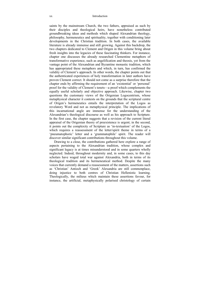#### xx Introduction

saints by the mainstream Church, the two fathers, appraised as such by their disciples and theological heirs, have nonetheless contributed groundbreaking ideas and methods which shaped Alexandrian theology, philosophy, hermeneutics and spirituality, together with conditioning later developments in the Christian tradition. In both cases, the available literature is already immense and still growing. Against this backdrop, the two chapters dedicated to Clement and Origen in this volume bring about fresh insights into the legacies of these fascinating thinkers. For instance, chapter one discusses the already researched Clementine metaphors of transformative experience, such as angelification and theosis, yet from the vantage point of the Alexandrian and Byzantine monastic tradition, which has appropriated these metaphors and which, in turn, has confirmed the validity of Clement's approach. In other words, the chapter points out that the authenticated experiences of holy transformation in later authors have proven Clement correct. It should not come as a surprise therefore that the chapter ends by affirming the requirement of an 'existential' or 'personal' proof for the validity of Clement's tenets—a proof which complements the equally useful scholarly and objective approach. Likewise, chapter two questions the customary views of the Origenian Logocentrism, whose metaphysical character it contests on the grounds that the scriptural centre of Origen's hermeneutics entails the interpretation of the Logos as revelatory Word and not as metaphysical principle. The implications of this incarnational angle are immense for the understanding of the Alexandrian's theological discourse as well as his approach to Scripture. In the first case, the chapter suggests that a revision of the current literal appraisal of the Origenian theory of preexistence is urgent; in the second, it points out the complexity of Scripture as 'in-textuation' of the Logos, which requires a reassessment of the letter/spirit theme in terms of a 'pneumatophoric' letter and a 'grammatophile' spirit. The reader will discover similar significant contributions throughout this volume.

Drawing to a close, the contributions gathered here explore a range of aspects pertaining to the Alexandrian tradition, whose complex and significant legacy is at times misunderstood and in some quarters wholly neglected. Indeed, throughout modernity and, in some cases, to this day scholars have waged total war against Alexandria, both in terms of its theological tradition and its hermeneutical method. Despite the many voices that currently demand a reassessment of the matters, assertions such as 'Christian' Antioch and 'Greek' Alexandria are still commonplace, doing injustice to both centres of Christian Hellenistic learning. Theologically, the milieus which maintain these assertions favour, for instance, the artificial, metaphysically polarised christology of certain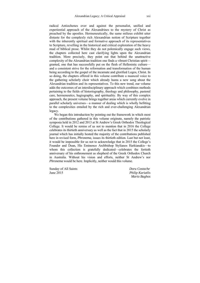radical Antiochenes over and against the personalist, unified and experiential approach of the Alexandrines to the mystery of Christ as preached by the apostles. Hermeneutically, the same milieus exhibit utter distaste for the complexly rich Alexandrian notion of Scripture together with the inherently spiritual and formative approach of its representatives to Scripture, revelling in the historical and critical exploration of the heavy mud of biblical prose. Whilst they do not polemically engage such views, the chapters collected here cast clarifying lights upon the Alexandrian tradition. More precisely, they point out that behind the unattractive complexity of the Alexandrian tradition one finds a vibrant Christian spirit granted, one that has successfully put on the flesh of Hellenistic culture and a consistent strive for the reformation and transformation of the human being according to the gospel of the incarnate and glorified Logos, Christ. In so doing, the chapters offered in this volume contribute a nuanced voice to the gathering scholarly choir which already hums a new song about the Alexandrian tradition and its representatives. To this new trend, our volume adds the outcomes of an interdisciplinary approach which combines methods pertaining to the fields of historiography, theology and philosophy, pastoral care, hermeneutics, hagiography, and spirituality. By way of this complex approach, the present volume brings together areas which currently evolve in parallel scholarly universes—a manner of dealing which is wholly befitting to the complexities entailed by the rich and ever-challenging Alexandrian legacy.

We began this introduction by pointing out the framework in which most of the contributions gathered in this volume originate, namely the patristic symposia held in 2012 and 2013 at St Andrew's Greek Orthodox Theological College. It would be remiss of us not to mention that in 2016 the College celebrates its thirtieth anniversary as well as the fact that in 2015 the scholarly journal which has initially hosted the majority of the contributions published here in revised form, *Phronema*, issues its thirtieth edition. Last but not least, it would be impossible for us not to acknowledge that in 2015 the College's Founder and Dean, His Eminence Archbishop Stylianos Harkianakis—to whom this collection is gratefully dedicated—celebrates the fortieth anniversary of his enthronement as shepherd of the Greek Orthodox Church in Australia. Without his vision and efforts, neither St Andrew's nor *Phronema* would be here. Implicitly, neither would this volume.

Sunday of All Saints *Doru Costache*  June 2015 *Philip Kariatlis* 

*Mario Baghos*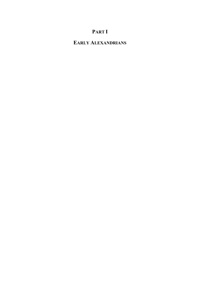## **PART I**

## **EARLY ALEXANDRIANS**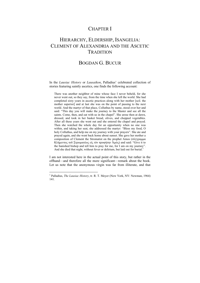## CHAPTER I

## HIERARCHY, ELDERSHIP, ISANGELIA: CLEMENT OF ALEXANDRIA AND THE ASCETIC **TRADITION**

### BOGDAN G. BUCUR

In the *Lausiac History* or *Lausaikon*, Palladius' celebrated collection of stories featuring saintly ascetics, one finds the following account:

There was another neighbor of mine whose face I never beheld, for she never went out, so they say, from the time when she left the world. She had completed sixty years in ascetic practices along with her mother [scil. the mother superior] and at last she was on the point of passing to the next world. And the martyr of that place, Colluthus by name, stood over her and said: "This day you will make the journey to the Master and see all the saints. Come, then, and eat with us in the chapel". She arose then at dawn, dressed, and took in her basket bread, olives, and chopped vegetables. After all these years she went out and she entered the chapel and prayed. Then she watched the whole day for an opportunity when no one was within, and taking her seat, she addressed the martyr: "Bless my food, O holy Colluthus, and help me on my journey with your prayers". She ate and prayed again, and she went back home about sunset. She gave her mother a composition of Clement the Stromatist on the prophet Amos (σύγγραμμα Κλήμεντος τοῦ Στρωματέως εἰς τὸν προφήτην Ἀμώς) and said: "Give it to the banished bishop and tell him to pray for me, for I am on my journey". And she died that night, without fever or delirium, but laid out for burial.<sup>1</sup>

I am not interested here in the actual point of this story, but rather in the offhand—and therefore all the more significant—remark about the book. Let us note that the anonymous virgin was far from illiterate, and that

<sup>&</sup>lt;sup>1</sup> Palladius, *The Lausiac History*, tr. R. T. Meyer (New York, NY: Newman, 1964) 141.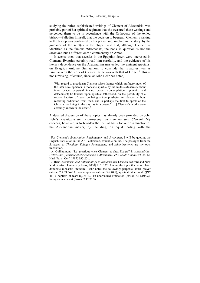studying the rather sophisticated writings of Clement of Alexandria<sup>2</sup> was probably part of her spiritual regimen; that she treasured these writings and perceived them to be in accordance with the Orthodoxy of the exiled bishop—Palladius himself; that the decision to bequeath Clement's writing to the bishop was confirmed by her prayer and, implied in the story, by the guidance of the saint(s) in the chapel; and that, although Clement is identified as the famous 'Stromatist', the book in question is not the *Stromata*, but a different one: a commentary on Amos.

It seems, then, that ascetics in the Egyptian desert were interested in Clement. Evagrius certainly read him carefully, and the evidence of his literary dependence on the Alexandrian master led the eminent specialist on Evagrius Antoine Guillaumont to conclude that Evagrius was as familiar with the work of Clement as he was with that of Origen.<sup>3</sup> This is not surprising, of course, since, as John Behr has noted,

With regard to asceticism Clement raises themes which prefigure much of the later developments in monastic spirituality: he writes extensively about inner peace, perpetual inward prayer, contemplation, *apatheia*, and detachment; he touches upon spiritual fatherhood, on the possibility of a second baptism of tears, on being a true presbyter and deacon without receiving ordination from men, and is perhaps the first to speak of the Christian as living in the city 'as in a desert.' […] Clement's works were certainly known in the desert.<sup>4</sup>

A detailed discussion of these topics has already been provided by John Behr's *Asceticism and Anthropology in Irenaeus and Clement*. My concern, however, is to broaden the textual basis for our examination of the Alexandrian master, by including, on equal footing with the

<sup>2</sup> For Clement's *Exhortation*, *Paedagogue*, and *Stromateis*, I will be quoting the English translation in the ANF collection, available online. The passages from the *Excerpta ex Theodoto*, *Eclogae Propheticae*, and *Adumbrationes* are my own translation.

<sup>3</sup> A. Guillaumont, "Le gnostique chez Clément et chez Évagre" in *Alexandrina: Héllenisme, judaisme et christianisme à Alexandrie, FS Claude Mondésert,* ed. M. Harl (Paris: Cerf, 1987) 195-201.

<sup>&</sup>lt;sup>4</sup> J. Behr, *Asceticism and Anthropology in Irenaeus and Clement* (Oxford and New York: Oxford University Press, 2000) 217, 132. Among the *topoi* that would later dominate monastic literature, Behr notes the following: perpetual inner prayer (*Strom.* 7.7.39.6-40.1); contemplation (*Strom.* 5.6.40.1); spiritual fatherhood (*QDS* 41.1); baptism of tears (*QDS* 42.14); unordained ordination (*Strom*. 6.13.106.2); living as in a desert (*Strom*. 7.12.77.3).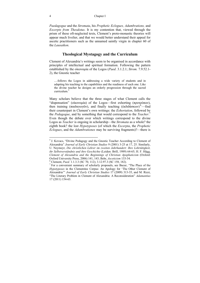*Paedagogue* and the *Stromata*, his *Prophetic Eclogues, Adumbrations,* and *Excerpts from Theodotus*. It is my contention that, viewed through the prism of these oft-neglected texts, Clement's proto-monastic theories will appear much livelier, and that we would better understand their appeal for ascetic practitioners such as the unnamed saintly virgin in chapter 60 of the *Lausaikon*.

### **Theological Mystagogy and the Curriculum**

Clement of Alexandria's writings seem to be organised in accordance with principles of intellectual and spiritual formation. Following the pattern established by the οἰκονομία of the Logos (*Paed*. 3.1.2.1; *Strom.* 7.9.52.1- 2), the Gnostic teacher

…follows the Logos in addressing a wide variety of students and in adapting his teaching to the capabilities and the readiness of each one. Like the divine teacher he designs an orderly progression through the sacred curriculum.<sup>5</sup>

Many scholars believe that the three stages of what Clement calls the "dispensation" (οἰκονομία) of the Logos—first exhorting (προτρέπων), then training (παιδαγωγῶν), and finally teaching (ἐκδιδάσκων)<sup>6</sup>—find their counterpart in Clement's own writings: the *Exhortation*, followed by the *Pedagogue*, and by something that would correspond to the *Teacher*. 7 Even though the debate over which writings correspond to the divine Logos as *Teacher* is ongoing in scholarship—the *Stromata* as a whole? the eighth book? the lost *Hypotyposes* (of which the *Excerpta*, the *Prophetic Eclogues*, and the *Adumbrationes* may be surviving fragments)?—there is

 5 J. Kovacs, "Divine Pedagogy and the Gnostic Teacher According to Clement of Alexandria" *Journal of Early Christian Studies* 9 (2001) 3-25 at 17, 25. Similarly, U. Neymeyr, *Die christlichen Lehrer im zweiten Jahrhundert: Ihre Lehrtätigkeit, ihr Selbstverständnis und ihre Geschichte* (Leiden: Brill, 1989) 64-65; H. F. Hägg, *Clement of Alexandria and the Beginnings of Christian Apophaticism* (Oxford: Oxford University Press, 2006) 141, 143; Behr, *Asceticism* 133-34. 6

Clement, *Paed.* 1.1.3.3 (SC 70, 112); 3.12.97.3 (SC 158, 182). 7

 $<sup>7</sup>$  For a convenient summary of scholarly proposals, see Bucur, "The Place of the</sup> *Hypotyposes* in the Clementine Corpus: An Apology for 'The Other Clement of Alexandria'" *Journal of Early Christian Studies* 17 (2009) 313-35, and M. Rizzi, "The Literary Problem in Clement of Alexandria: A Reconsideration" *Adamantius*  17 (2011) 154-63.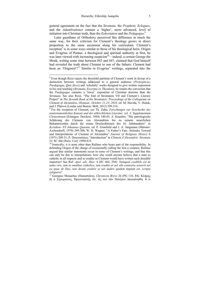general agreement on the fact that the *Stromata,* the *Prophetic Eclogues*, and the *Adumbrationes* contain a 'higher', more advanced, level of initiation into Christian truth, than the *Exhortation* and the *Pedagogue*. 8

Later guardians of Orthodoxy perceived this difference in much the same way, for their criticism for Clement's theology grows in direct proportion to the same ascension along his curriculum. Clement's reception<sup>9</sup> is in some ways similar to those of his theological heirs, Origen and Evagrius of Pontus: a theological and spiritual authority at first, he was later viewed with increasing suspicion<sup>10</sup>—indeed, a certain George the Monk, writing some time between 843 and 847, claimed that God himself had revealed the truth about Clement to one of the fathers: Clement had been an 'Origenist'!<sup>11</sup> Similar to Evagrius' writings, separated into the

<sup>&</sup>lt;sup>8</sup> Even though Rizzi rejects the threefold partition of Clement's work in favour of a distinction between writings addressed to a general audience (*Protrepticus*, *Paedagogus*, *Quis dives*) and 'scholarly' works designed to give written expression to his oral teaching (*Stromata*, *Excerpta ex Theodoto*), he retains the conviction that the *Paedagogue* contains a 'lower' exposition of Christian doctrine than the *Stromata*. See also Rizzi, "The End of Stromateis VII and Clement's Literary Project" in *The Seventh Book of the Stromateis: Proceedings of the Colloquium on Clement of Alexandria*, *Olomouc, October 21-23, 2010,* ed. M. Havrda, V. Hušek, and J. Plátová (Leiden and Boston: Brill, 2012) 299-314.

<sup>9</sup> For the reception of Clement, see Th. Zahn, *Forschungen zur Geschichte des neutestamentlichen Kanons und der altkirchlichen Literatur, vol. 3: Supplementum Clementinum* (Erlangen: Deichert, 1884) 140-43; A. Knauber, "Die patrologische Schätzung des Clemens von Alexandrien bis zu seinem neuerlichen Bekanntwerden durch die ersten Druckeditionen des 16. Jahrhunderts" in *Kyriakon: FS Johannes Quasten,* ed. P. Granfield and J. A. Jungmann (Münster: Aschendorff, 1970) 289-308; W. H. Wagner, "A Father's Fate: Attitudes Toward and Interpretations of Clement of Alexandria" *Journal of Religious History* 6 (1971) 209-31; P. Descourtieux, "Introduction" in *Clément d'Alexandrie: Stromate VI*, SC 446 (Paris: Cerf, 1999) 8-9.<br><sup>10</sup> Ironically, it is none other than Rufinus who bears part of the responsibility. In

defending Origen of the charge of occasionally calling the Son a creature, Rufinus argued that similar statements occur in some of Clement's writings, and that this can only be due to interpolations: how else could anyone believe that a man so catholic in all respects and so erudite as Clement would have written such dreadful impieties? See Ruf. *Apol. adv. Hier.* 4 (SC 464, 294): *Numquid credibile est de tanto viro, tam in omnibus catholico, tam erudito ut uel sibi contraria senserit uel ea quae de Deo, non dicam credere se uel audire quidem impium est, scripta reliquerit?* 11 Georgius Monachus (Hamartolos), *Chronicon Breve* 26 (PG 110, 84): Κλήμης

δὲ ὁ Στρωματεὺς, Ὠριγενιαστὴς ὤν, ὥς τινι τῶν Πατέρων ἀπεκαλύφθη. It is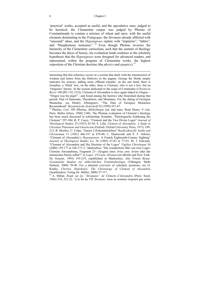#### 6 Chapter I

'practical' works, accepted as useful, and the speculative ones, judged to be heretical, the Clementine corpus was judged by Photius of Constantinople to contain a mixture of wheat and tares, with the useful elements dominating in the *Pedagogue*, the *Stromata* already afflicted with "unsound" ideas, and the *Hypotyposes* replete with "impieties", "fables", and "blasphemous nonsense".<sup>12</sup> Even though Photius reverses the hierarchy of the Clementine curriculum, such that the summit of theology becomes the abyss of heresy, his evaluation lends credence to the scholarly hypothesis that the *Hypotyposes* were designed for advanced readers, and represented, within the program of Clementine works, the highest exposition of the Christian doctrine (the *physics* and *epoptics*).13

Paris: Belles lettres, 1960] 2:80). The Photian evaluation of Clement's theology has been much discussed in scholarship: Knauber, "Patrologische Schätzung des Clemens" 297-304; R. P. Casey, "Clement and the Two Divine Logoi" *Journal of Theological Studies* 25 (1923) 43-56; S. Lilla, *Clement of Alexandria: A Study in Christian Platonism and Gnosticism* (Oxford: Oxford University Press, 1971) 199- 212; R. Mortley, C. Colpe, "Gnosis I (Erkenntnislehre)" *Reallexikon für Antike und Christentum* 11 (1981) 446-537 at 479-80; C. Duckworth and E. F. Osborn, "Clement of Alexandria's *Hypotyposeis*: A French Eighteenth-Century Sighting" *Journal of Theological Studies* n.s. 36 (1985) 67-83 at 77-83; M. J. Edwards, "Clement of Alexandria and His Doctrine of the Logos" *Vigiliae Christianae* 54 (2000) 159-177 at 168-171; C. Markschies, "Die wunderliche Mär von zwei Logoi: Clemens Alexandrinus, Fragment 23—Zeugnis eines *Arius ante Arium* oder des arianischen Streits selbst?" in *Logos: FS Luise Abramowski* (Berlin and New York: De Gruyter, 1993) 193-219, republished in Markschies, *Alta Trinità Beata: Gesammelte Studien zur altkirchlichen Trinitätstheologie* (Tübingen: Mohr Siebeck, 2000) 70-98. For a detailed overview of scholarly positions, see O. Kindiy, *Christos Didaskalos: The Christology of Clement of Alexandria* (Saarbrücken: Verlag Dr. Müller, 2008) 57-117.

interesting that this reference occurs in a section that deals with the transmission of wisdom and letters from the Hebrews to the pagans. George the Monk simply indicates his sources, adding some offhand remarks: on the one hand, there is Josephus, a 'blind' Jew; on the other, there is Clement, who is not a Jew, but an 'Origenist' heretic. In the section dedicated to the reign of Commodus (*Chronicon Breve* 140 [PG 110, 532]), Clement of Alexandria is once again linked to Origen— "Origen was his pupil"—and listed among the heretics who flourished during that period: Paul of Samosata, Theodotion, and Montanus. For the dating of Georgius Monachus, see Dmitry Afinogenov, "The Date of Georgios Monachos Reconsidered" *Byzantinische Zeitschrift* 92 (1999) 437-47. 12 Photius, *Cod.* 109 (Photius, *Bibliothèque* [ed. and trans. René Henry; 9 vols.

<sup>13</sup> A. Méhat*, Étude sur les "Stromates" de Clément d'Alexandrie* (Paris: Seuil, 1966) 516, 521-22: "à la fin du *VII<sup>e</sup> Stromate*, nous ne sommes toujours pas sortis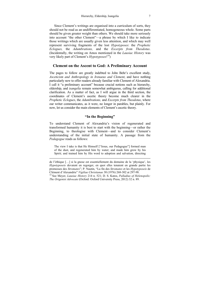Since Clement's writings are organised into a curriculum of sorts, they should not be read as an undifferentiated, homogeneous whole. Some parts should be given greater weight than others. We should take more seriously into account "the other Clement"—a phrase by which I like to indicate those writings which are usually given less attention, and which may well represent surviving fragments of the lost *Hypotyposes*: the *Prophetic Eclogues,* the *Adumbrations,* and the *Excerpts from Theodotus*. (Incidentally, the writing on Amos mentioned in the *Lausiac History* was very likely part of Clement's *Hypotyposes*! 14)

### **Clement on the Ascent to God: A Preliminary Account**

The pages to follow are greatly indebted to John Behr's excellent study, *Asceticism and Anthropology in Irenaeus and Clement*, and have nothing particularly new to offer readers already familiar with Clement of Alexandria. I call it "a preliminary account" because crucial notions such as hierarchy, eldership, and *isangelia* remain somewhat ambiguous, calling for additional clarification. As a matter of fact, as I will argue in the third section, the coordinates of Clement's ascetic theory become much clearer in the *Prophetic Eclogues*, the *Adumbrations,* and *Excerpts from Theodotus*, where our writer communicates, as it were, no longer in parables, but plainly. For now, let us consider the main elements of Clement's ascetic theory.

### **"In the Beginning"**

To understand Clement of Alexandria's vision of regenerated and transformed humanity it is best to start with the beginning—or rather the Beginning, to theologise with Clement—and to consider Clement's understanding of the initial state of humanity. A passage from the *Pedagogue* reads as follows:

The view I take is that He Himself ["Jesus, our Pedagogue"] formed man of the dust, and regenerated him by water; and made him grow by his Spirit; and trained him by His word to adoption and salvation, directing

de l'éthique […] si la gnose est essentiellement du domaine de la 'physique', les *Hypotyposeis* devaient en regorger, en quoi elles tenaient en grande partie les promesses des *Stromates*"; P. Nautin, "La fin des *Stromates* et les *Hypotyposeis* de Clément d'Alexandrie" *Vigiliae Christianae* 30 (1976) 268-302 at 297-98. 14 See Meyer, *Lausiac History* 214 n. 521; D. S. Katos, *Palladius of Helenopolis:* 

*The Origenist Advocate* (Oxford: Oxford University Press, 2012) 32 n. 89.